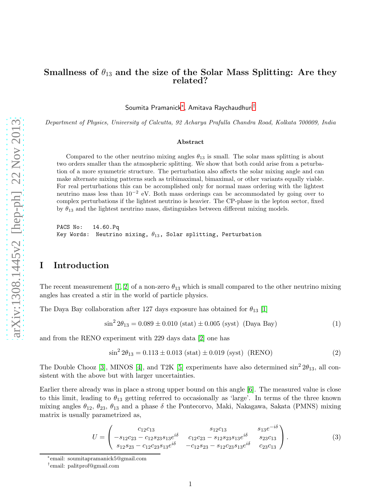# Smallness of  $\theta_{13}$  and the size of the Solar Mass Splitting: Are they related?

Soumita Pramanick[∗](#page-0-0) , Amitava Raychaudhuri[†](#page-0-1)

Department of Physics, University of Calcutta, 92 Acharya Prafulla Chandra Road, Kolkata 700009, India

#### Abstract

Compared to the other neutrino mixing angles  $\theta_{13}$  is small. The solar mass splitting is about two orders smaller than the atmospheric splitting. We show that both could arise from a peturbation of a more symmetric structure. The perturbation also affects the solar mixing angle and can make alternate mixing patterns such as tribimaximal, bimaximal, or other variants equally viable. For real perturbations this can be accomplished only for normal mass ordering with the lightest neutrino mass less than 10<sup>−</sup><sup>2</sup> eV. Both mass orderings can be accommodated by going over to complex perturbations if the lightest neutrino is heavier. The CP-phase in the lepton sector, fixed by  $\theta_{13}$  and the lightest neutrino mass, distinguishes between different mixing models.

PACS No: 14.60.Pq Key Words: Neutrino mixing,  $\theta_{13}$ , Solar splitting, Perturbation

# I Introduction

The recent measurement [\[1,](#page-14-0) [2\]](#page-14-1) of a non-zero  $\theta_{13}$  which is small compared to the other neutrino mixing angles has created a stir in the world of particle physics.

The Daya Bay collaboration after 127 days exposure has obtained for  $\theta_{13}$  [\[1\]](#page-14-0)

$$
\sin^2 2\theta_{13} = 0.089 \pm 0.010 \text{ (stat)} \pm 0.005 \text{ (syst)} \text{ (Daya Bay)} \tag{1}
$$

and from the RENO experiment with 229 days data [\[2\]](#page-14-1) one has

$$
\sin^2 2\theta_{13} = 0.113 \pm 0.013 \text{ (stat)} \pm 0.019 \text{ (syst)} \text{ (RENO)} \tag{2}
$$

The Double Chooz [\[3\]](#page-14-2), MINOS [\[4\]](#page-14-3), and T2K [\[5\]](#page-14-4) experiments have also determined  $\sin^2 2\theta_{13}$ , all consistent with the above but with larger uncertainties.

Earlier there already was in place a strong upper bound on this angle [\[6\]](#page-14-5). The measured value is close to this limit, leading to  $\theta_{13}$  getting referred to occasionally as 'large'. In terms of the three known mixing angles  $\theta_{12}$ ,  $\theta_{23}$ ,  $\theta_{13}$  and a phase  $\delta$  the Pontecorvo, Maki, Nakagawa, Sakata (PMNS) mixing matrix is usually parametrized as,

<span id="page-0-2"></span>
$$
U = \begin{pmatrix} c_{12}c_{13} & s_{12}c_{13} & s_{13}e^{-i\delta} \\ -s_{12}c_{23} - c_{12}s_{23}s_{13}e^{i\delta} & c_{12}c_{23} - s_{12}s_{23}s_{13}e^{i\delta} & s_{23}c_{13} \\ s_{12}s_{23} - c_{12}c_{23}s_{13}e^{i\delta} & -c_{12}s_{23} - s_{12}c_{23}s_{13}e^{i\delta} & c_{23}c_{13} \end{pmatrix}.
$$
 (3)

<sup>∗</sup> email: soumitapramanick5@gmail.com

<span id="page-0-1"></span><span id="page-0-0"></span><sup>†</sup> email: palitprof@gmail.com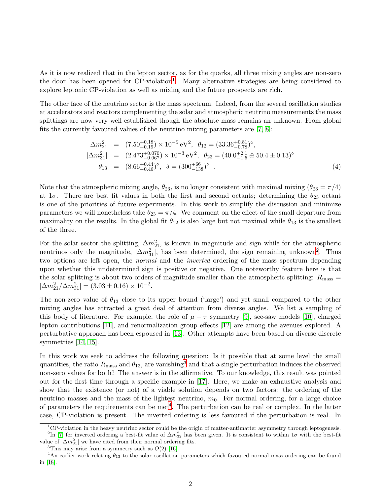As it is now realized that in the lepton sector, as for the quarks, all three mixing angles are non-zero the door has been opened for CP-violation<sup>[1](#page-1-0)</sup>. Many alternative strategies are being considered to explore leptonic CP-violation as well as mixing and the future prospects are rich.

The other face of the neutrino sector is the mass spectrum. Indeed, from the several oscillation studies at accelerators and reactors complementing the solar and atmospheric neutrino measurements the mass splittings are now very well established though the absolute mass remains an unknown. From global fits the currently favoured values of the neutrino mixing parameters are [\[7,](#page-14-6) [8\]](#page-14-7):

<span id="page-1-4"></span>
$$
\Delta m_{21}^2 = (7.50^{+0.18}_{-0.19}) \times 10^{-5} \text{ eV}^2, \ \theta_{12} = (33.36^{+0.81}_{-0.78})^{\circ}, \n|\Delta m_{31}^2| = (2.473^{+0.070}_{-0.067}) \times 10^{-3} \text{ eV}^2, \ \theta_{23} = (40.0^{+2.1}_{-1.5} \oplus 50.4 \pm 0.13)^{\circ} \n\theta_{13} = (8.66^{+0.44}_{-0.46})^{\circ}, \ \delta = (300^{+66}_{-138})^{\circ} .
$$
\n(4)

Note that the atmospheric mixing angle,  $\theta_{23}$ , is no longer consistent with maximal mixing  $(\theta_{23} = \pi/4)$ at  $1\sigma$ . There are best fit values in both the first and second octants; determining the  $\theta_{23}$  octant is one of the priorities of future experiments. In this work to simplify the discussion and minimize parameters we will nonetheless take  $\theta_{23} = \pi/4$ . We comment on the effect of the small departure from maximality on the results. In the global fit  $\theta_{12}$  is also large but not maximal while  $\theta_{13}$  is the smallest of the three.

For the solar sector the splitting,  $\Delta m_{21}^2$ , is known in magnitude and sign while for the atmospheric neutrinos only the magnitude,  $|\Delta m_{31}^2|$  $|\Delta m_{31}^2|$  $|\Delta m_{31}^2|$ , has been determined, the sign remaining unknown<sup>2</sup>. Thus two options are left open, the *normal* and the *inverted* ordering of the mass spectrum depending upon whether this undetermined sign is positive or negative. One noteworthy feature here is that the solar splitting is about two orders of magnitude smaller than the atmospheric splitting:  $R_{\text{mass}} =$  $|\Delta m_{21}^2/\Delta m_{31}^2| = (3.03 \pm 0.16) \times 10^{-2}$ .

The non-zero value of  $\theta_{13}$  close to its upper bound ('large') and yet small compared to the other mixing angles has attracted a great deal of attention from diverse angles. We list a sampling of this body of literature. For example, the role of  $\mu - \tau$  symmetry [\[9\]](#page-15-0), see-saw models [\[10\]](#page-15-1), charged lepton contributions [\[11\]](#page-15-2), and renormalization group effects [\[12\]](#page-15-3) are among the avenues explored. A perturbative approach has been espoused in [\[13\]](#page-15-4). Other attempts have been based on diverse discrete symmetries [\[14,](#page-15-5) [15\]](#page-15-6).

In this work we seek to address the following question: Is it possible that at some level the small quantities, the ratio  $R_{\text{mass}}$  and  $\theta_{13}$  $\theta_{13}$  $\theta_{13}$ , are vanishing<sup>3</sup> and that a single perturbation induces the observed non-zero values for both? The answer is in the affirmative. To our knowledge, this result was pointed out for the first time through a specific example in [\[17\]](#page-15-7). Here, we make an exhaustive analysis and show that the existence (or not) of a viable solution depends on two factors: the ordering of the neutrino masses and the mass of the lightest neutrino,  $m_0$ . For normal ordering, for a large choice of parameters the requirements can be met<sup>[4](#page-1-3)</sup>. The perturbation can be real or complex. In the latter case, CP-violation is present. The inverted ordering is less favoured if the perturbation is real. In

<span id="page-1-0"></span> ${}^{1}$ CP-violation in the heavy neutrino sector could be the origin of matter-antimatter asymmetry through leptogenesis. <sup>2</sup>In [\[7\]](#page-14-6) for inverted ordering a best-fit value of  $\Delta m_{32}^2$  has been given. It is consistent to within 1 $\sigma$  with the best-fit value of  $|\Delta m_{31}^2|$  we have cited from their normal ordering fits.

<span id="page-1-2"></span><span id="page-1-1"></span><sup>&</sup>lt;sup>3</sup>This may arise from a symmetry such as  $O(2)$  [\[16\]](#page-15-8).

<span id="page-1-3"></span><sup>&</sup>lt;sup>4</sup>An earlier work relating  $\theta_{13}$  to the solar oscillation parameters which favoured normal mass ordering can be found in [\[18\]](#page-15-9).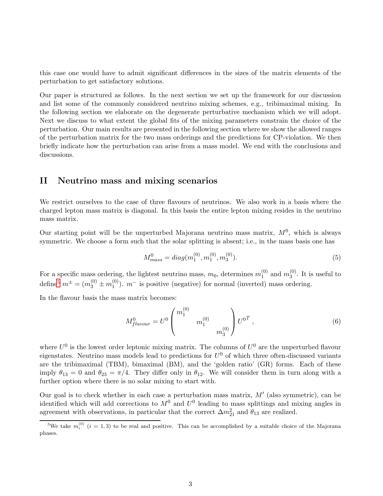this case one would have to admit significant differences in the sizes of the matrix elements of the perturbation to get satisfactory solutions.

Our paper is structured as follows. In the next section we set up the framework for our discussion and list some of the commonly considered neutrino mixing schemes, e.g., tribimaximal mixing. In the following section we elaborate on the degenerate perturbative mechanism which we will adopt. Next we discuss to what extent the global fits of the mixing parameters constrain the choice of the perturbation. Our main results are presented in the following section where we show the allowed ranges of the perturbation matrix for the two mass orderings and the predictions for CP-violation. We then briefly indicate how the perturbation can arise from a mass model. We end with the conclusions and discussions.

# II Neutrino mass and mixing scenarios

We restrict ourselves to the case of three flavours of neutrinos. We also work in a basis where the charged lepton mass matrix is diagonal. In this basis the entire lepton mixing resides in the neutrino mass matrix.

Our starting point will be the unperturbed Majorana neutrino mass matrix,  $M<sup>0</sup>$ , which is always symmetric. We choose a form such that the solar splitting is absent; i.e., in the mass basis one has

<span id="page-2-1"></span>
$$
M_{mass}^0 = diag(m_1^{(0)}, m_1^{(0)}, m_3^{(0)}).
$$
\n<sup>(5)</sup>

For a specific mass ordering, the lightest neutrino mass,  $m_0$ , determines  $m_1^{(0)}$  $_1^{(0)}$  and  $m_3^{(0)}$  $_3^{\circ\circ}$ . It is useful to define<sup>[5](#page-2-0)</sup>  $m^{\pm} = (m_3^{(0)} \pm m_1^{(0)}$  $1^{(0)}$ ).  $m^-$  is positive (negative) for normal (inverted) mass ordering.

In the flavour basis the mass matrix becomes:

$$
M_{flavour}^0 = U^0 \begin{pmatrix} m_1^{(0)} & & \\ & m_1^{(0)} & \\ & & m_3^{(0)} \end{pmatrix} U^{0T} , \qquad (6)
$$

where  $U^0$  is the lowest order leptonic mixing matrix. The columns of  $U^0$  are the unperturbed flavour eigenstates. Neutrino mass models lead to predictions for  $U^0$  of which three often-discussed variants are the tribimaximal (TBM), bimaximal (BM), and the 'golden ratio' (GR) forms. Each of these imply  $\theta_{13} = 0$  and  $\theta_{23} = \pi/4$ . They differ only in  $\theta_{12}$ . We will consider them in turn along with a further option where there is no solar mixing to start with.

Our goal is to check whether in each case a perturbation mass matrix,  $M'$  (also symmetric), can be identified which will add corrections to  $M^0$  and  $U^0$  leading to mass splittings and mixing angles in agreement with observations, in particular that the correct  $\Delta m_{21}^2$  and  $\theta_{13}$  are realized.

<span id="page-2-0"></span><sup>&</sup>lt;sup>5</sup>We take  $m_i^{(0)}$   $(i = 1, 3)$  to be real and positive. This can be accomplished by a suitable choice of the Majorana phases.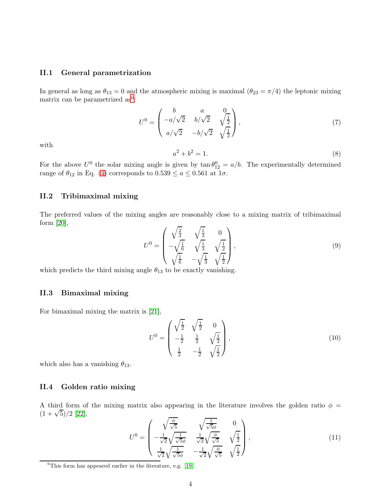#### II.1 General parametrization

In general as long as  $\theta_{13} = 0$  and the atmospheric mixing is maximal  $(\theta_{23} = \pi/4)$  the leptonic mixing matrix can be parametrized as<sup>[6](#page-3-0)</sup>:

<span id="page-3-1"></span>
$$
U^{0} = \begin{pmatrix} b & a & 0\\ -a/\sqrt{2} & b/\sqrt{2} & \sqrt{\frac{1}{2}}\\ a/\sqrt{2} & -b/\sqrt{2} & \sqrt{\frac{1}{2}} \end{pmatrix},
$$
 (7)

with

<span id="page-3-2"></span>
$$
a^2 + b^2 = 1.\t\t(8)
$$

For the above  $U^0$  the solar mixing angle is given by  $\tan \theta_{12}^0 = a/b$ . The experimentally determined range of  $\theta_{12}$  in Eq. [\(4\)](#page-1-4) corresponds to  $0.539 \le a \le 0.561$  at  $1\sigma$ .

# II.2 Tribimaximal mixing

The preferred values of the mixing angles are reasonably close to a mixing matrix of tribimaximal form [\[20\]](#page-15-10),

$$
U^{0} = \begin{pmatrix} \sqrt{\frac{2}{3}} & \sqrt{\frac{1}{3}} & 0\\ -\sqrt{\frac{1}{6}} & \sqrt{\frac{1}{3}} & \sqrt{\frac{1}{2}}\\ \sqrt{\frac{1}{6}} & -\sqrt{\frac{1}{3}} & \sqrt{\frac{1}{2}} \end{pmatrix},\tag{9}
$$

which predicts the third mixing angle  $\theta_{13}$  to be exactly vanishing.

# II.3 Bimaximal mixing

For bimaximal mixing the matrix is [\[21\]](#page-16-0),

$$
U^{0} = \begin{pmatrix} \sqrt{\frac{1}{2}} & \sqrt{\frac{1}{2}} & 0\\ -\frac{1}{2} & \frac{1}{2} & \sqrt{\frac{1}{2}}\\ \frac{1}{2} & -\frac{1}{2} & \sqrt{\frac{1}{2}} \end{pmatrix},
$$
\n(10)

which also has a vanishing  $\theta_{13}$ .

## II.4 Golden ratio mixing

A third form of the mixing matrix also appearing in the literature involves the golden ratio  $\phi =$  $(1+\sqrt{5})/2$  [\[22\]](#page-16-1),

$$
U^{0} = \begin{pmatrix} \sqrt{\frac{\phi}{\sqrt{5}}} & \sqrt{\frac{1}{\sqrt{5}\phi}} & 0\\ -\frac{1}{\sqrt{2}}\sqrt{\frac{1}{\sqrt{5}\phi}} & \frac{1}{\sqrt{2}}\sqrt{\frac{\phi}{\sqrt{5}}} & \sqrt{\frac{1}{2}}\\ \frac{1}{\sqrt{2}}\sqrt{\frac{1}{\sqrt{5}\phi}} & -\frac{1}{\sqrt{2}}\sqrt{\frac{\phi}{\sqrt{5}}} & \sqrt{\frac{1}{2}} \end{pmatrix},
$$
\n(11)

<span id="page-3-0"></span> ${}^{6}$ This form has appeared earlier in the literature, e.g. [\[19\]](#page-15-11).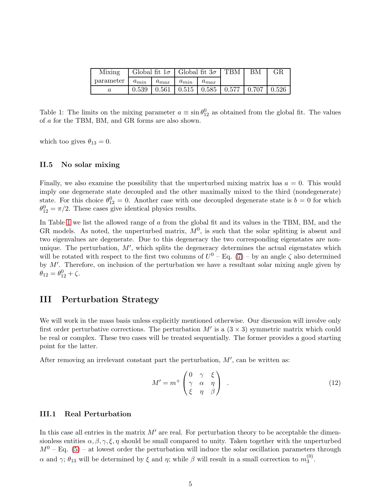| Mixing    | Global fit $1\sigma$   Global fit $3\sigma$   TBM |           |           |           |                                                           | BМ | GR       |
|-----------|---------------------------------------------------|-----------|-----------|-----------|-----------------------------------------------------------|----|----------|
| parameter | $a_{min}$                                         | $a_{max}$ | $a_{min}$ | $a_{max}$ |                                                           |    |          |
|           |                                                   |           |           |           | $0.539$   $0.561$   $0.515$   $0.585$   $0.577$   $0.707$ |    | $-0.526$ |

<span id="page-4-0"></span>Table 1: The limits on the mixing parameter  $a \equiv \sin \theta_{12}^0$  as obtained from the global fit. The values of a for the TBM, BM, and GR forms are also shown.

which too gives  $\theta_{13} = 0$ .

## II.5 No solar mixing

Finally, we also examine the possibility that the unperturbed mixing matrix has  $a = 0$ . This would imply one degenerate state decoupled and the other maximally mixed to the third (nondegenerate) state. For this choice  $\theta_{12}^0 = 0$ . Another case with one decoupled degenerate state is  $b = 0$  for which  $\theta_{12}^0 = \pi/2$ . These cases give identical physics results.

In Table [1](#page-4-0) we list the allowed range of a from the global fit and its values in the TBM, BM, and the GR models. As noted, the unperturbed matrix,  $M<sup>0</sup>$ , is such that the solar splitting is absent and two eigenvalues are degenerate. Due to this degeneracy the two corresponding eigenstates are nonunique. The perturbation,  $M'$ , which splits the degeneracy determines the actual eigenstates which will be rotated with respect to the first two columns of  $U^0$  – Eq. [\(7\)](#page-3-1) – by an angle  $\zeta$  also determined by M′ . Therefore, on inclusion of the perturbation we have a resultant solar mixing angle given by  $\theta_{12} = \theta_{12}^0 + \zeta.$ 

# III Perturbation Strategy

We will work in the mass basis unless explicitly mentioned otherwise. Our discussion will involve only first order perturbative corrections. The perturbation  $M'$  is a  $(3 \times 3)$  symmetric matrix which could be real or complex. These two cases will be treated sequentially. The former provides a good starting point for the latter.

After removing an irrelevant constant part the perturbation,  $M'$ , can be written as:

<span id="page-4-1"></span>
$$
M' = m^+ \begin{pmatrix} 0 & \gamma & \xi \\ \gamma & \alpha & \eta \\ \xi & \eta & \beta \end{pmatrix} . \tag{12}
$$

## III.1 Real Perturbation

In this case all entries in the matrix  $M'$  are real. For perturbation theory to be acceptable the dimensionless entities  $\alpha, \beta, \gamma, \xi, \eta$  should be small compared to unity. Taken together with the unperturbed  $M^{0}$  – Eq. [\(5\)](#page-2-1) – at lowest order the perturbation will induce the solar oscillation parameters through  $\alpha$  and  $\gamma$ ;  $\theta_{13}$  will be determined by  $\xi$  and  $\eta$ ; while  $\beta$  will result in a small correction to  $m_3^{(0)}$  $\frac{1}{3}$ .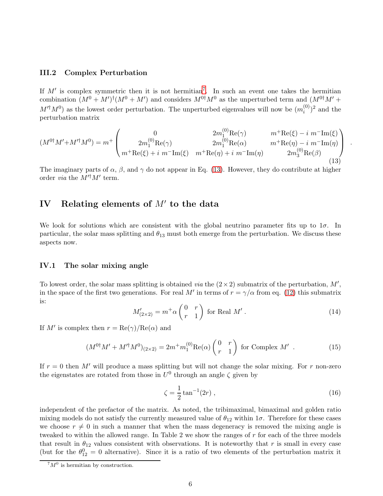## III.2 Complex Perturbation

If  $M'$  is complex symmetric then it is not hermitian<sup>[7](#page-5-0)</sup>. In such an event one takes the hermitian combination  $(M^0 + M')^{\dagger} (M^0 + M')$  and considers  $M^{0\dagger} M^0$  as the unperturbed term and  $(M^{0\dagger} M' +$  $M'^{\dagger}M^{0}$ ) as the lowest order perturbation. The unperturbed eigenvalues will now be  $(m_i^{(0)})$  $i^{(0)}$ <sup>2</sup> and the perturbation matrix

<span id="page-5-1"></span>
$$
(M^{0\dagger}M' + M'^{\dagger}M^{0}) = m^{+}\begin{pmatrix} 0 & 2m_{1}^{(0)}\text{Re}(\gamma) & m^{+}\text{Re}(\xi) - i \ m^{-}\text{Im}(\xi) & m^{+}\text{Re}(\xi) - i \ m^{+}\text{Re}(\xi) + i \ m^{-}\text{Im}(\xi) & m^{+}\text{Re}(\eta) + i \ m^{-}\text{Im}(\eta) & m^{+}\text{Re}(\eta) - i \ m^{+}\text{Re}(\xi) + i \ m^{-}\text{Im}(\xi) & m^{+}\text{Re}(\eta) + i \ m^{-}\text{Im}(\eta) & 2m_{3}^{(0)}\text{Re}(\beta) \end{pmatrix} . \tag{13}
$$

The imaginary parts of  $\alpha$ ,  $\beta$ , and  $\gamma$  do not appear in Eq. [\(13\)](#page-5-1). However, they do contribute at higher order *via* the  $M'^{\dagger}M'$  term.

# IV Relating elements of  $M'$  to the data

We look for solutions which are consistent with the global neutrino parameter fits up to  $1\sigma$ . In particular, the solar mass splitting and  $\theta_{13}$  must both emerge from the perturbation. We discuss these aspects now.

## IV.1 The solar mixing angle

To lowest order, the solar mass splitting is obtained *via* the  $(2 \times 2)$  submatrix of the perturbation,  $M'$ , in the space of the first two generations. For real M' in terms of  $r = \gamma/\alpha$  from eq. [\(12\)](#page-4-1) this submatrix is:

<span id="page-5-2"></span>
$$
M'_{(2\times2)} = m^+ \alpha \begin{pmatrix} 0 & r \\ r & 1 \end{pmatrix} \text{ for Real } M' .
$$
 (14)

If M' is complex then  $r = \text{Re}(\gamma)/\text{Re}(\alpha)$  and

<span id="page-5-3"></span>
$$
(M^{0\dagger}M' + M'^{\dagger}M^{0})_{(2\times2)} = 2m^{+}m_{1}^{(0)}\text{Re}(\alpha)\begin{pmatrix} 0 & r \\ r & 1 \end{pmatrix} \text{ for Complex } M' \tag{15}
$$

If  $r = 0$  then M' will produce a mass splitting but will not change the solar mixing. For r non-zero the eigenstates are rotated from those in  $U^0$  through an angle  $\zeta$  given by

<span id="page-5-4"></span>
$$
\zeta = \frac{1}{2} \tan^{-1}(2r) \,,\tag{16}
$$

independent of the prefactor of the matrix. As noted, the tribimaximal, bimaximal and golden ratio mixing models do not satisfy the currently measured value of  $\theta_{12}$  within 1 $\sigma$ . Therefore for these cases we choose  $r \neq 0$  in such a manner that when the mass degeneracy is removed the mixing angle is tweaked to within the allowed range. In Table 2 we show the ranges of r for each of the three models that result in  $\theta_{12}$  values consistent with observations. It is noteworthy that r is small in every case (but for the  $\theta_{12}^0 = 0$  alternative). Since it is a ratio of two elements of the perturbation matrix it

<span id="page-5-0"></span> $7M^0$  is hermitian by construction.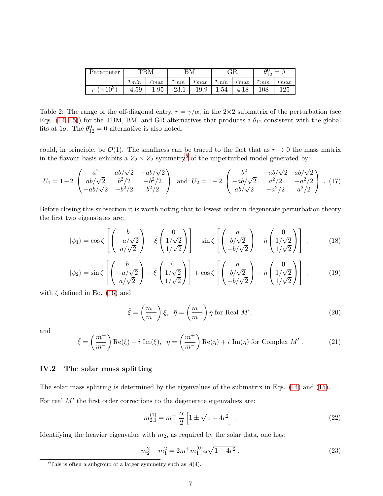| Parameter                 | TRM           |               |                |               | GR             |               | $=$                 |               |
|---------------------------|---------------|---------------|----------------|---------------|----------------|---------------|---------------------|---------------|
|                           | $\sim$<br>min | $\sim$<br>max | $\sim$<br>min  | $\sim$<br>max | m<br>$\dot{m}$ | $\sim$<br>max | $\mathbf{r}$<br>min | $\sim$<br>max |
| 10 <sup>2</sup><br>$\sim$ | $-4.59$       | $-1.95$       | 221<br>$-20.1$ | $-19.9$       | $1.54\,$       |               | 108                 | 125           |

<span id="page-6-3"></span>Table 2: The range of the off-diagonal entry,  $r = \gamma/\alpha$ , in the 2×2 submatrix of the perturbation (see Eqs. [\(14,](#page-5-2) [15\)](#page-5-3)) for the TBM, BM, and GR alternatives that produces a  $\theta_{12}$  consistent with the global fits at  $1\sigma$ . The  $\theta_{12}^0 = 0$  alternative is also noted.

could, in principle, be  $\mathcal{O}(1)$ . The smallness can be traced to the fact that as  $r \to 0$  the mass matrix in the flavour basis exhibits a  $Z_2 \times Z_2$  symmetry<sup>[8](#page-6-0)</sup> of the unperturbed model generated by:

$$
U_1 = 1 - 2 \begin{pmatrix} a^2 & ab/\sqrt{2} & -ab/\sqrt{2} \\ ab/\sqrt{2} & b^2/2 & -b^2/2 \\ -ab/\sqrt{2} & -b^2/2 & b^2/2 \end{pmatrix} \text{ and } U_2 = 1 - 2 \begin{pmatrix} b^2 & -ab/\sqrt{2} & ab/\sqrt{2} \\ -ab/\sqrt{2} & a^2/2 & -a^2/2 \\ ab/\sqrt{2} & -a^2/2 & a^2/2 \end{pmatrix} . (17)
$$

Before closing this subsection it is worth noting that to lowest order in degenerate perturbation theory the first two eigenstates are:

$$
|\psi_1\rangle = \cos\zeta \left[ \begin{pmatrix} b \\ -a/\sqrt{2} \\ a/\sqrt{2} \end{pmatrix} - \bar{\xi} \begin{pmatrix} 0 \\ 1/\sqrt{2} \\ 1/\sqrt{2} \end{pmatrix} \right] - \sin\zeta \left[ \begin{pmatrix} a \\ b/\sqrt{2} \\ -b/\sqrt{2} \end{pmatrix} - \bar{\eta} \begin{pmatrix} 0 \\ 1/\sqrt{2} \\ 1/\sqrt{2} \end{pmatrix} \right],
$$
(18)

$$
|\psi_2\rangle = \sin\zeta \left[ \begin{pmatrix} b \\ -a/\sqrt{2} \\ a/\sqrt{2} \end{pmatrix} - \bar{\xi} \begin{pmatrix} 0 \\ 1/\sqrt{2} \\ 1/\sqrt{2} \end{pmatrix} \right] + \cos\zeta \left[ \begin{pmatrix} a \\ b/\sqrt{2} \\ -b/\sqrt{2} \end{pmatrix} - \bar{\eta} \begin{pmatrix} 0 \\ 1/\sqrt{2} \\ 1/\sqrt{2} \end{pmatrix} \right],
$$
(19)

with  $\zeta$  defined in Eq. [\(16\)](#page-5-4) and

<span id="page-6-2"></span>
$$
\bar{\xi} = \left(\frac{m^+}{m^-}\right)\xi, \quad \bar{\eta} = \left(\frac{m^+}{m^-}\right)\eta \text{ for Real } M',\tag{20}
$$

and

<span id="page-6-4"></span>
$$
\bar{\xi} = \left(\frac{m^+}{m^-}\right) \text{Re}(\xi) + i \text{ Im}(\xi), \quad \bar{\eta} = \left(\frac{m^+}{m^-}\right) \text{Re}(\eta) + i \text{ Im}(\eta) \text{ for Complex } M' \,. \tag{21}
$$

# IV.2 The solar mass splitting

The solar mass splitting is determined by the eigenvalues of the submatrix in Eqs. [\(14\)](#page-5-2) and [\(15\)](#page-5-3).

For real M' the first order corrections to the degenerate eigenvalues are:

$$
m_{2,1}^{(1)} = m^+ \frac{\alpha}{2} \left[ 1 \pm \sqrt{1 + 4r^2} \right] \,. \tag{22}
$$

Identifying the heavier eigenvalue with  $m_2$ , as required by the solar data, one has:

<span id="page-6-1"></span>
$$
m_2^2 - m_1^2 = 2m^+ m_1^{(0)} \alpha \sqrt{1 + 4r^2} \,. \tag{23}
$$

<span id="page-6-0"></span><sup>&</sup>lt;sup>8</sup>This is often a subgroup of a larger symmetry such as  $A(4)$ .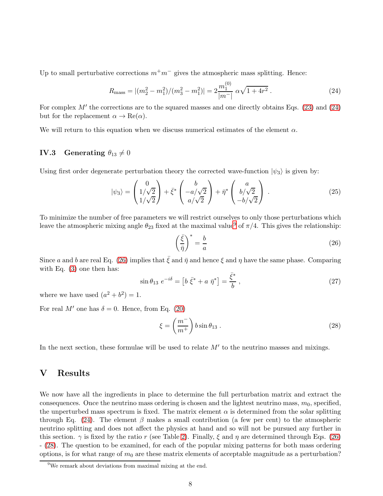Up to small perturbative corrections  $m+m^-$  gives the atmospheric mass splitting. Hence:

<span id="page-7-0"></span>
$$
R_{\text{mass}} = |(m_2^2 - m_1^2)/(m_3^2 - m_1^2)| = 2 \frac{m_1^{(0)}}{|m^-|} \alpha \sqrt{1 + 4r^2} \,. \tag{24}
$$

 $\sim$ 

For complex  $M'$  the corrections are to the squared masses and one directly obtains Eqs. [\(23\)](#page-6-1) and [\(24\)](#page-7-0) but for the replacement  $\alpha \to \text{Re}(\alpha)$ .

We will return to this equation when we discuss numerical estimates of the element  $\alpha$ .

# IV.3 Generating  $\theta_{13}\neq 0$

Using first order degenerate perturbation theory the corrected wave-function  $|\psi_3\rangle$  is given by:

$$
|\psi_3\rangle = \begin{pmatrix} 0\\1/\sqrt{2}\\1/\sqrt{2} \end{pmatrix} + \bar{\xi}^* \begin{pmatrix} b\\-a/\sqrt{2}\\a/\sqrt{2} \end{pmatrix} + \bar{\eta}^* \begin{pmatrix} a\\b/\sqrt{2}\\-b/\sqrt{2} \end{pmatrix} . \tag{25}
$$

To minimize the number of free parameters we will restrict ourselves to only those perturbations which leave the atmospheric mixing angle  $\theta_{23}$  fixed at the maximal value<sup>[9](#page-7-1)</sup> of  $\pi/4$ . This gives the relationship:

<span id="page-7-2"></span>
$$
\left(\frac{\bar{\xi}}{\bar{\eta}}\right)^* = \frac{b}{a} \tag{26}
$$

Since a and b are real Eq. [\(26\)](#page-7-2) implies that  $\bar{\xi}$  and  $\bar{\eta}$  and hence  $\xi$  and  $\eta$  have the same phase. Comparing with Eq. [\(3\)](#page-0-2) one then has:

<span id="page-7-4"></span>
$$
\sin \theta_{13} \ e^{-i\delta} = \left[ b \ \bar{\xi}^* + a \ \bar{\eta}^* \right] = \frac{\bar{\xi}^*}{b} \,, \tag{27}
$$

where we have used  $(a^2 + b^2) = 1$ .

For real M' one has  $\delta = 0$ . Hence, from Eq. [\(20\)](#page-6-2)

<span id="page-7-3"></span>
$$
\xi = \left(\frac{m^-}{m^+}\right) b \sin \theta_{13} . \tag{28}
$$

In the next section, these formulae will be used to relate  $M'$  to the neutrino masses and mixings.

# V Results

We now have all the ingredients in place to determine the full perturbation matrix and extract the consequences. Once the neutrino mass ordering is chosen and the lightest neutrino mass,  $m_0$ , specified, the unperturbed mass spectrum is fixed. The matrix element  $\alpha$  is determined from the solar splitting through Eq. [\(24\)](#page-7-0). The element  $\beta$  makes a small contribution (a few per cent) to the atmospheric neutrino splitting and does not affect the physics at hand and so will not be pursued any further in this section.  $\gamma$  is fixed by the ratio r (see Table [2\)](#page-6-3). Finally,  $\xi$  and  $\eta$  are determined through Eqs. [\(26\)](#page-7-2) - [\(28\)](#page-7-3). The question to be examined, for each of the popular mixing patterns for both mass ordering options, is for what range of  $m_0$  are these matrix elements of acceptable magnitude as a perturbation?

<span id="page-7-1"></span><sup>9</sup>We remark about deviations from maximal mixing at the end.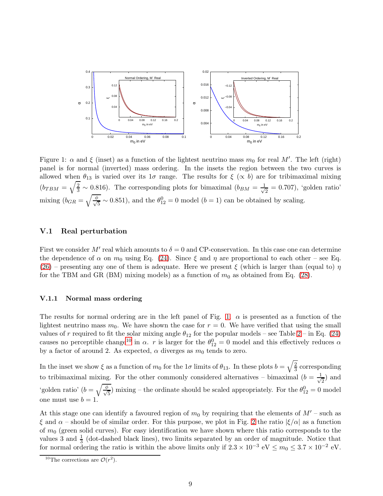

<span id="page-8-0"></span>Figure 1:  $\alpha$  and  $\xi$  (inset) as a function of the lightest neutrino mass  $m_0$  for real M'. The left (right) panel is for normal (inverted) mass ordering. In the insets the region between the two curves is allowed when  $\theta_{13}$  is varied over its  $1\sigma$  range. The results for  $\xi(\propto b)$  are for tribimaximal mixing  $(b_{TBM} = \sqrt{\frac{2}{3}} \sim 0.816)$ . The corresponding plots for bimaximal  $(b_{BM} = \frac{1}{\sqrt{3}}$  $\frac{1}{2} = 0.707$ , 'golden ratio' mixing  $(b_{GR}) = \sqrt{\frac{\phi}{\sqrt{\phi}}}$  $\frac{1}{5} \sim 0.851$ ), and the  $\theta_{12}^0 = 0$  model  $(b = 1)$  can be obtained by scaling.

## V.1 Real perturbation

First we consider M' real which amounts to  $\delta = 0$  and CP-conservation. In this case one can determine the dependence of  $\alpha$  on  $m_0$  using Eq. [\(24\)](#page-7-0). Since  $\xi$  and  $\eta$  are proportional to each other – see Eq. [\(26\)](#page-7-2) – presenting any one of them is adequate. Here we present  $\xi$  (which is larger than (equal to)  $\eta$ for the TBM and GR (BM) mixing models) as a function of  $m_0$  as obtained from Eq. [\(28\)](#page-7-3).

#### V.1.1 Normal mass ordering

The results for normal ordering are in the left panel of Fig. [1.](#page-8-0)  $\alpha$  is presented as a function of the lightest neutrino mass  $m_0$ . We have shown the case for  $r = 0$ . We have verified that using the small values of r required to fit the solar mixing angle  $\theta_{12}$  for the popular models – see Table [2](#page-6-3) – in Eq. [\(24\)](#page-7-0) causes no perceptible change<sup>[10](#page-8-1)</sup> in  $\alpha$ . r is larger for the  $\theta_{12}^0 = 0$  model and this effectively reduces  $\alpha$ by a factor of around 2. As expected,  $\alpha$  diverges as  $m_0$  tends to zero.

In the inset we show  $\xi$  as a function of  $m_0$  for the  $1\sigma$  limits of  $\theta_{13}$ . In these plots  $b = \sqrt{\frac{2}{3}}$  $\frac{2}{3}$  corresponding to tribimaximal mixing. For the other commonly considered alternatives – bimaximal  $(b = \frac{1}{\sqrt{2}})$  $\frac{1}{2}$  and 'golden ratio' ( $b = \sqrt{\frac{\phi}{\sqrt{2}}}$  $\frac{1}{5}$ ) mixing – the ordinate should be scaled appropriately. For the  $\theta_{12}^0 = 0$  model one must use  $b = 1$ .

At this stage one can identify a favoured region of  $m_0$  by requiring that the elements of  $M'$  – such as  $\xi$  and  $\alpha$  – should be of similar order. For this purpose, we plot in Fig. [2](#page-9-0) the ratio  $|\xi/\alpha|$  as a function of  $m_0$  (green solid curves). For easy identification we have shown where this ratio corresponds to the values 3 and  $\frac{1}{3}$  (dot-dashed black lines), two limits separated by an order of magnitude. Notice that for normal ordering the ratio is within the above limits only if  $2.3 \times 10^{-3} \text{ eV} \le m_0 \le 3.7 \times 10^{-2} \text{ eV}$ .

<span id="page-8-1"></span><sup>&</sup>lt;sup>10</sup>The corrections are  $\mathcal{O}(r^2)$ .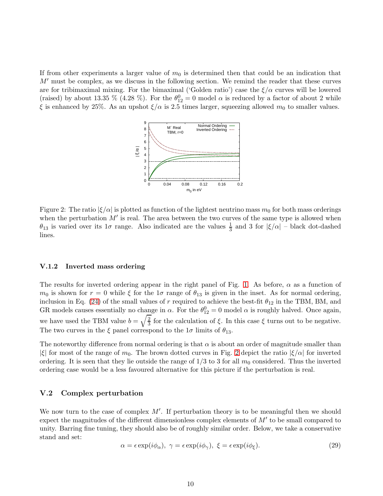If from other experiments a larger value of  $m_0$  is determined then that could be an indication that  $M'$  must be complex, as we discuss in the following section. We remind the reader that these curves are for tribimaximal mixing. For the bimaximal ('Golden ratio') case the  $\xi/\alpha$  curves will be lowered (raised) by about 13.35 % (4.28 %). For the  $\theta_{12}^0 = 0$  model  $\alpha$  is reduced by a factor of about 2 while ξ is enhanced by 25%. As an upshot  $ξ/α$  is 2.5 times larger, squeezing allowed  $m<sub>0</sub>$  to smaller values.



<span id="page-9-0"></span>Figure 2: The ratio  $|\xi/\alpha|$  is plotted as function of the lightest neutrino mass  $m_0$  for both mass orderings when the perturbation  $M'$  is real. The area between the two curves of the same type is allowed when  $\theta_{13}$  is varied over its  $1\sigma$  range. Also indicated are the values  $\frac{1}{3}$  and 3 for  $|\xi/\alpha|$  – black dot-dashed lines.

#### V.1.2 Inverted mass ordering

The results for inverted ordering appear in the right panel of Fig. [1.](#page-8-0) As before,  $\alpha$  as a function of  $m_0$  is shown for  $r = 0$  while  $\xi$  for the 1 $\sigma$  range of  $\theta_{13}$  is given in the inset. As for normal ordering, inclusion in Eq. [\(24\)](#page-7-0) of the small values of r required to achieve the best-fit  $\theta_{12}$  in the TBM, BM, and GR models causes essentially no change in  $\alpha$ . For the  $\theta_{12}^0 = 0$  model  $\alpha$  is roughly halved. Once again, we have used the TBM value  $b = \sqrt{\frac{2}{3}}$  $\frac{2}{3}$  for the calculation of  $\xi$ . In this case  $\xi$  turns out to be negative. The two curves in the  $\xi$  panel correspond to the  $1\sigma$  limits of  $\theta_{13}$ .

The noteworthy difference from normal ordering is that  $\alpha$  is about an order of magnitude smaller than |ξ| for most of the range of  $m_0$ . The brown dotted curves in Fig. [2](#page-9-0) depict the ratio  $|\xi/\alpha|$  for inverted ordering. It is seen that they lie outside the range of  $1/3$  to 3 for all  $m_0$  considered. Thus the inverted ordering case would be a less favoured alternative for this picture if the perturbation is real.

## V.2 Complex perturbation

We now turn to the case of complex  $M'$ . If perturbation theory is to be meaningful then we should expect the magnitudes of the different dimensionless complex elements of  $M'$  to be small compared to unity. Barring fine tuning, they should also be of roughly similar order. Below, we take a conservative stand and set:

$$
\alpha = \epsilon \exp(i\phi_{\alpha}), \ \gamma = \epsilon \exp(i\phi_{\gamma}), \ \xi = \epsilon \exp(i\phi_{\xi}). \tag{29}
$$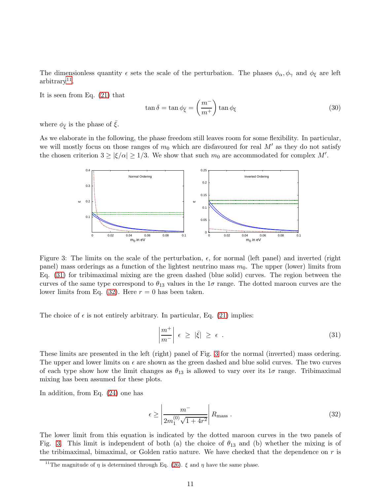The dimensionless quantity  $\epsilon$  sets the scale of the perturbation. The phases  $\phi_{\alpha}, \phi_{\gamma}$  and  $\phi_{\xi}$  are left  $arbitrary<sup>11</sup>$  $arbitrary<sup>11</sup>$  $arbitrary<sup>11</sup>$ .

It is seen from Eq. [\(21\)](#page-6-4) that

<span id="page-10-4"></span>
$$
\tan \delta = \tan \phi_{\bar{\xi}} = \left(\frac{m^{-}}{m^{+}}\right) \tan \phi_{\xi}
$$
\n(30)

where  $\phi_{\bar{\xi}}$  is the phase of  $\bar{\xi}$ .

As we elaborate in the following, the phase freedom still leaves room for some flexibility. In particular, we will mostly focus on those ranges of  $m_0$  which are disfavoured for real M' as they do not satisfy the chosen criterion  $3 \ge |\xi/\alpha| \ge 1/3$ . We show that such  $m_0$  are accommodated for complex M'.



<span id="page-10-3"></span>Figure 3: The limits on the scale of the perturbation,  $\epsilon$ , for normal (left panel) and inverted (right panel) mass orderings as a function of the lightest neutrino mass  $m_0$ . The upper (lower) limits from Eq. [\(31\)](#page-10-1) for tribimaximal mixing are the green dashed (blue solid) curves. The region between the curves of the same type correspond to  $\theta_{13}$  values in the  $1\sigma$  range. The dotted maroon curves are the lower limits from Eq. [\(32\)](#page-10-2). Here  $r = 0$  has been taken.

The choice of  $\epsilon$  is not entirely arbitrary. In particular, Eq. [\(21\)](#page-6-4) implies:

<span id="page-10-1"></span>
$$
\left|\frac{m^+}{m^-}\right| \epsilon \ge |\bar{\xi}| \ge \epsilon . \tag{31}
$$

These limits are presented in the left (right) panel of Fig. [3](#page-10-3) for the normal (inverted) mass ordering. The upper and lower limits on  $\epsilon$  are shown as the green dashed and blue solid curves. The two curves of each type show how the limit changes as  $\theta_{13}$  is allowed to vary over its  $1\sigma$  range. Tribimaximal mixing has been assumed for these plots.

In addition, from Eq. [\(24\)](#page-7-0) one has

<span id="page-10-2"></span>
$$
\epsilon \ge \left| \frac{m^-}{2m_1^{(0)}\sqrt{1+4r^2}} \right| R_{\text{mass}} \,. \tag{32}
$$

The lower limit from this equation is indicated by the dotted maroon curves in the two panels of Fig. [3.](#page-10-3) This limit is independent of both (a) the choice of  $\theta_{13}$  and (b) whether the mixing is of the tribimaximal, bimaximal, or Golden ratio nature. We have checked that the dependence on  $r$  is

<span id="page-10-0"></span><sup>&</sup>lt;sup>11</sup>The magnitude of  $\eta$  is determined through Eq. [\(26\)](#page-7-2).  $\xi$  and  $\eta$  have the same phase.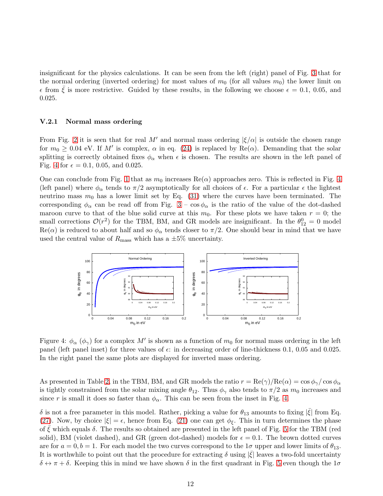insignificant for the physics calculations. It can be seen from the left (right) panel of Fig. [3](#page-10-3) that for the normal ordering (inverted ordering) for most values of  $m_0$  (for all values  $m_0$ ) the lower limit on  $\epsilon$  from  $\xi$  is more restrictive. Guided by these results, in the following we choose  $\epsilon = 0.1, 0.05,$  and 0.025.

## V.2.1 Normal mass ordering

From Fig. [2](#page-9-0) it is seen that for real M' and normal mass ordering  $|\xi/\alpha|$  is outside the chosen range for  $m_0 \geq 0.04$  eV. If M' is complex,  $\alpha$  in eq. [\(24\)](#page-7-0) is replaced by Re( $\alpha$ ). Demanding that the solar splitting is correctly obtained fixes  $\phi_{\alpha}$  when  $\epsilon$  is chosen. The results are shown in the left panel of Fig. [4](#page-11-0) for  $\epsilon = 0.1, 0.05,$  and 0.025.

One can conclude from Fig. [1](#page-8-0) that as  $m_0$  increases  $\text{Re}(\alpha)$  approaches zero. This is reflected in Fig. [4](#page-11-0) (left panel) where  $\phi_{\alpha}$  tends to  $\pi/2$  asymptotically for all choices of  $\epsilon$ . For a particular  $\epsilon$  the lightest neutrino mass  $m_0$  has a lower limit set by Eq. [\(31\)](#page-10-1) where the curves have been terminated. The corresponding  $\phi_{\alpha}$  can be read off from Fig.  $3 - \cos \phi_{\alpha}$  is the ratio of the value of the dot-dashed maroon curve to that of the blue solid curve at this  $m_0$ . For these plots we have taken  $r = 0$ ; the small corrections  $\mathcal{O}(r^2)$  for the TBM, BM, and GR models are insignificant. In the  $\theta_{12}^0 = 0$  model  $\text{Re}(\alpha)$  is reduced to about half and so  $\phi_{\alpha}$  tends closer to  $\pi/2$ . One should bear in mind that we have used the central value of  $R_{\text{mass}}$  which has a  $\pm 5\%$  uncertainty.



<span id="page-11-0"></span>Figure 4:  $\phi_{\alpha}$  ( $\phi_{\gamma}$ ) for a complex M' is shown as a function of  $m_0$  for normal mass ordering in the left panel (left panel inset) for three values of  $\epsilon$ : in decreasing order of line-thickness 0.1, 0.05 and 0.025. In the right panel the same plots are displayed for inverted mass ordering.

As presented in Table [2,](#page-6-3) in the TBM, BM, and GR models the ratio  $r = \text{Re}(\gamma)/\text{Re}(\alpha) = \cos \phi_{\gamma}/\cos \phi_{\alpha}$ is tightly constrained from the solar mixing angle  $\theta_{12}$ . Thus  $\phi_{\gamma}$  also tends to  $\pi/2$  as  $m_0$  increases and since r is small it does so faster than  $\phi_{\alpha}$ . This can be seen from the inset in Fig. [4.](#page-11-0)

 $\delta$  is not a free parameter in this model. Rather, picking a value for  $\theta_{13}$  amounts to fixing  $|\bar{\xi}|$  from Eq. [\(27\)](#page-7-4). Now, by choice  $|\xi| = \epsilon$ , hence from Eq. [\(21\)](#page-6-4) one can get  $\phi_{\xi}$ . This in turn determines the phase of  $\xi$  which equals  $\delta$ . The results so obtained are presented in the left panel of Fig. [5](#page-12-0) for the TBM (red solid), BM (violet dashed), and GR (green dot-dashed) models for  $\epsilon = 0.1$ . The brown dotted curves are for  $a = 0, b = 1$ . For each model the two curves correspond to the  $1\sigma$  upper and lower limits of  $\theta_{13}$ . It is worthwhile to point out that the procedure for extracting  $\delta$  using  $|\bar{\xi}|$  leaves a two-fold uncertainty  $\delta \leftrightarrow \pi + \delta$ . Keeping this in mind we have shown  $\delta$  in the first quadrant in Fig. [5](#page-12-0) even though the  $1\sigma$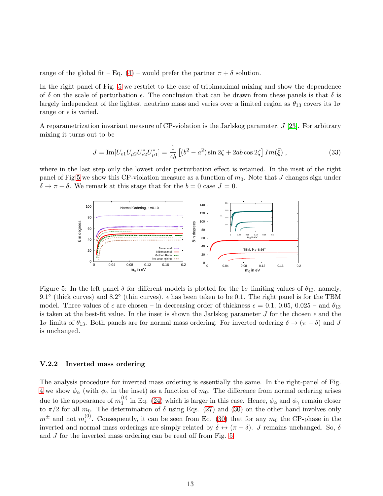range of the global fit – Eq. [\(4\)](#page-1-4) – would prefer the partner  $\pi + \delta$  solution.

In the right panel of Fig. [5](#page-12-0) we restrict to the case of tribimaximal mixing and show the dependence of  $\delta$  on the scale of perturbation  $\epsilon$ . The conclusion that can be drawn from these panels is that  $\delta$  is largely independent of the lightest neutrino mass and varies over a limited region as  $\theta_{13}$  covers its  $1\sigma$ range or  $\epsilon$  is varied.

A reparametrization invariant measure of CP-violation is the Jarlskog parameter, J [\[23\]](#page-16-2). For arbitrary mixing it turns out to be

$$
J = \text{Im}[U_{e1}U_{\mu 2}U_{e2}^*U_{\mu 1}^*] = \frac{1}{4b} \left[ (b^2 - a^2) \sin 2\zeta + 2ab \cos 2\zeta \right] Im(\bar{\xi}), \qquad (33)
$$

where in the last step only the lowest order perturbation effect is retained. In the inset of the right panel of Fig [5](#page-12-0) we show this CP-violation measure as a function of  $m_0$ . Note that J changes sign under  $\delta \rightarrow \pi + \delta$ . We remark at this stage that for the  $b = 0$  case  $J = 0$ .



<span id="page-12-0"></span>Figure 5: In the left panel  $\delta$  for different models is plotted for the  $1\sigma$  limiting values of  $\theta_{13}$ , namely, 9.1° (thick curves) and 8.2° (thin curves).  $\epsilon$  has been taken to be 0.1. The right panel is for the TBM model. Three values of  $\epsilon$  are chosen – in decreasing order of thickness  $\epsilon = 0.1, 0.05, 0.025$  – and  $\theta_{13}$ is taken at the best-fit value. In the inset is shown the Jarlskog parameter J for the chosen  $\epsilon$  and the  $1\sigma$  limits of  $\theta_{13}$ . Both panels are for normal mass ordering. For inverted ordering  $\delta \to (\pi - \delta)$  and J is unchanged.

#### V.2.2 Inverted mass ordering

The analysis procedure for inverted mass ordering is essentially the same. In the right-panel of Fig. [4](#page-11-0) we show  $\phi_{\alpha}$  (with  $\phi_{\gamma}$  in the inset) as a function of  $m_0$ . The difference from normal ordering arises due to the appearance of  $m_1^{(0)}$  $_{1}^{\circ}$  in Eq. [\(24\)](#page-7-0) which is larger in this case. Hence,  $\phi_{\alpha}$  and  $\phi_{\gamma}$  remain closer to  $\pi/2$  for all  $m_0$ . The determination of  $\delta$  using Eqs. [\(27\)](#page-7-4) and [\(30\)](#page-10-4) on the other hand involves only  $m^{\pm}$  and not  $m_i^{(0)}$  $i^{(0)}$ . Consequently, it can be seen from Eq. [\(30\)](#page-10-4) that for any  $m_0$  the CP-phase in the inverted and normal mass orderings are simply related by  $\delta \leftrightarrow (\pi - \delta)$ . J remains unchanged. So,  $\delta$ and J for the inverted mass ordering can be read off from Fig. [5.](#page-12-0)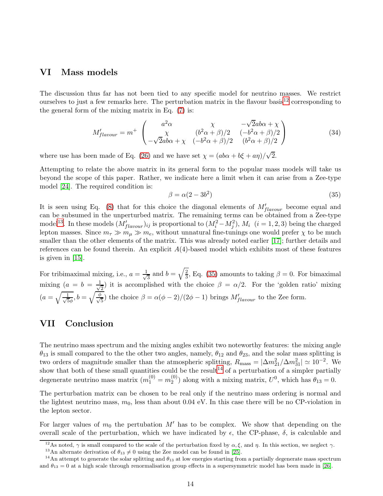# VI Mass models

The discussion thus far has not been tied to any specific model for neutrino masses. We restrict ourselves to just a few remarks here. The perturbation matrix in the flavour basis<sup>[12](#page-13-0)</sup> corresponding to the general form of the mixing matrix in Eq. [\(7\)](#page-3-1) is:

$$
M'_{flavour} = m^+ \begin{pmatrix} a^2 \alpha & \chi & -\sqrt{2}ab\alpha + \chi \\ \chi & (b^2 \alpha + \beta)/2 & (-b^2 \alpha + \beta)/2 \\ -\sqrt{2}ab\alpha + \chi & (-b^2 \alpha + \beta)/2 & (b^2 \alpha + \beta)/2 \end{pmatrix}
$$
(34)

where use has been made of Eq. [\(26\)](#page-7-2) and we have set  $\chi = (ab\alpha + b\xi + a\eta)/\sqrt{2}$ .

Attempting to relate the above matrix in its general form to the popular mass models will take us beyond the scope of this paper. Rather, we indicate here a limit when it can arise from a Zee-type model [\[24\]](#page-16-3). The required condition is:

<span id="page-13-2"></span>
$$
\beta = \alpha (2 - 3b^2) \tag{35}
$$

It is seen using Eq. [\(8\)](#page-3-2) that for this choice the diagonal elements of  $M'_{flavour}$  become equal and can be subsumed in the unperturbed matrix. The remaining terms can be obtained from a Zee-type model<sup>[13](#page-13-1)</sup>. In these models  $(M'_{flavour})_{ij}$  is proportional to  $(M_i^2 - M_j^2)$ ,  $M_i$   $(i = 1, 2, 3)$  being the charged lepton masses. Since  $m_{\tau} \gg m_{\mu} \gg m_e$ , without unnatural fine-tunings one would prefer  $\chi$  to be much smaller than the other elements of the matrix. This was already noted earlier [\[17\]](#page-15-7); further details and references can be found therein. An explicit  $A(4)$ -based model which exhibits most of these features is given in [\[15\]](#page-15-6).

For tribimaximal mixing, i.e.,  $a = \frac{1}{\sqrt{2}}$  $\frac{1}{3}$  and  $b = \sqrt{\frac{2}{3}}$  $\frac{2}{3}$ , Eq. [\(35\)](#page-13-2) amounts to taking  $\beta = 0$ . For bimaximal mixing  $(a = b = \frac{1}{\sqrt{2}})$  $\frac{1}{2}$ ) it is accomplished with the choice  $\beta = \alpha/2$ . For the 'golden ratio' mixing  $(a=\sqrt{\frac{1}{\sqrt{5}}}$  $\frac{1}{5\phi}$ ,  $b = \sqrt{\frac{\phi}{\sqrt{5}}}$ ) the choice  $\beta = \alpha(\phi - 2)/(2\phi - 1)$  brings  $M'_{flavour}$  to the Zee form.

# VII Conclusion

The neutrino mass spectrum and the mixing angles exhibit two noteworthy features: the mixing angle  $\theta_{13}$  is small compared to the the other two angles, namely,  $\theta_{12}$  and  $\theta_{23}$ , and the solar mass splitting is two orders of magnitude smaller than the atmospheric splitting,  $R_{\text{mass}} = |\Delta m_{21}^2 / \Delta m_{31}^2| \simeq 10^{-2}$ . We show that both of these small quantities could be the result<sup>[14](#page-13-3)</sup> of a perturbation of a simpler partially degenerate neutrino mass matrix  $(m_1^{(0)} = m_2^{(0)}$  $\mathcal{L}_2^{(0)}$ ) along with a mixing matrix,  $U^0$ , which has  $\theta_{13} = 0$ .

The perturbation matrix can be chosen to be real only if the neutrino mass ordering is normal and the lightest neutrino mass,  $m_0$ , less than about 0.04 eV. In this case there will be no CP-violation in the lepton sector.

For larger values of  $m_0$  the pertubation M' has to be complex. We show that depending on the overall scale of the perturbation, which we have indicated by  $\epsilon$ , the CP-phase,  $\delta$ , is calculable and

<sup>&</sup>lt;sup>12</sup>As noted,  $\gamma$  is small compared to the scale of the perturbation fixed by  $\alpha, \xi$ , and  $\eta$ . In this section, we neglect  $\gamma$ .

<span id="page-13-1"></span><span id="page-13-0"></span><sup>&</sup>lt;sup>13</sup>An alternate derivation of  $\theta_{13} \neq 0$  using the Zee model can be found in [\[25\]](#page-16-4).

<span id="page-13-3"></span><sup>&</sup>lt;sup>14</sup>An attempt to generate the solar splitting and  $\theta_{13}$  at low energies starting from a partially degenerate mass spectrum and  $\theta_{13} = 0$  at a high scale through renormalisation group effects in a supersymmetric model has been made in [\[26\]](#page-16-5).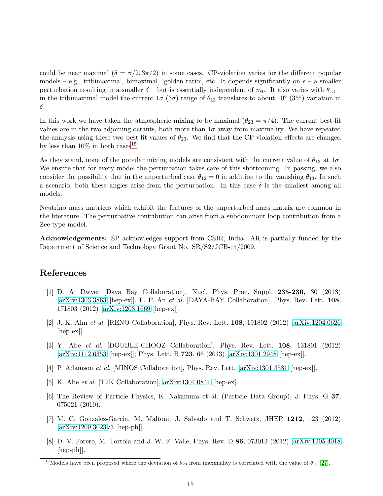could be near maximal  $(\delta = \pi/2, 3\pi/2)$  in some cases. CP-violation varies for the different popular models – e.g., tribimaximal, bimaximal, 'golden ratio', etc. It depends significantly on  $\epsilon$  – a smaller perturbation resulting in a smaller  $\delta$  – but is essentially independent of  $m_0$ . It also varies with  $\theta_{13}$  – in the tribimaximal model the current  $1\sigma$  ( $3\sigma$ ) range of  $\theta_{13}$  translates to about  $10^{\circ}$  ( $35^{\circ}$ ) variation in δ.

In this work we have taken the atmospheric mixing to be maximal  $(\theta_{23} = \pi/4)$ . The current best-fit values are in the two adjoining octants, both more than  $1\sigma$  away from maximality. We have repeated the analysis using these two best-fit values of  $\theta_{23}$ . We find that the CP-violation effects are changed by less than  $10\%$  in both cases<sup>[15](#page-14-8)</sup>.

As they stand, none of the popular mixing models are consistent with the current value of  $\theta_{12}$  at  $1\sigma$ . We ensure that for every model the perturbation takes care of this shortcoming. In passing, we also consider the possibility that in the unperturbed case  $\theta_{12} = 0$  in addition to the vanishing  $\theta_{13}$ . In such a scenario, both these angles arise from the perturbation. In this case  $\delta$  is the smallest among all models.

Neutrino mass matrices which exhibit the features of the unperturbed mass matrix are common in the literature. The perturbative contribution can arise from a subdominant loop contribution from a Zee-type model.

Acknowledgements: SP acknowledges support from CSIR, India. AR is partially funded by the Department of Science and Technology Grant No. SR/S2/JCB-14/2009.

# <span id="page-14-0"></span>References

- [1] D. A. Dwyer [Daya Bay Collaboration], Nucl. Phys. Proc. Suppl. 235-236, 30 (2013) [\[arXiv:1303.3863](http://arxiv.org/abs/1303.3863) [hep-ex]]. F. P. An et al. [DAYA-BAY Collaboration], Phys. Rev. Lett. 108, 171803 (2012) [\[arXiv:1203.1669](http://arxiv.org/abs/1203.1669) [hep-ex]].
- <span id="page-14-1"></span>[2] J. K. Ahn et al. [RENO Collaboration], Phys. Rev. Lett. 108, 191802 (2012) [\[arXiv:1204.0626](http://arxiv.org/abs/1204.0626) [hep-ex]].
- <span id="page-14-2"></span>[3] Y. Abe et al. [DOUBLE-CHOOZ Collaboration], Phys. Rev. Lett. 108, 131801 (2012) [\[arXiv:1112.6353](http://arxiv.org/abs/1112.6353) [hep-ex]]; Phys. Lett. B 723, 66 (2013) [\[arXiv:1301.2948](http://arxiv.org/abs/1301.2948) [hep-ex]].
- <span id="page-14-4"></span><span id="page-14-3"></span>[4] P. Adamson et al. [MINOS Collaboration], Phys. Rev. Lett. [\[arXiv:1301.4581](http://arxiv.org/abs/1301.4581) [hep-ex]].
- <span id="page-14-5"></span>[5] K. Abe et al. [T2K Collaboration], [arXiv:1304.0841](http://arxiv.org/abs/1304.0841) [hep-ex].
- [6] The Review of Particle Physics, K. Nakamura et al. (Particle Data Group), J. Phys. G 37, 075021 (2010).
- <span id="page-14-6"></span>[7] M. C. Gonzalez-Garcia, M. Maltoni, J. Salvado and T. Schwetz, JHEP 1212, 123 (2012) [\[arXiv:1209.3023v](http://arxiv.org/abs/1209.3023)3 [hep-ph]].
- <span id="page-14-7"></span>[8] D. V. Forero, M. Tortola and J. W. F. Valle, Phys. Rev. D 86, 073012 (2012) [\[arXiv:1205.4018](http://arxiv.org/abs/1205.4018) [hep-ph]].

<span id="page-14-8"></span><sup>&</sup>lt;sup>15</sup>Models have been proposed where the deviation of  $\theta_{23}$  from maximality is correlated with the value of  $\theta_{13}$  [\[27\]](#page-16-6).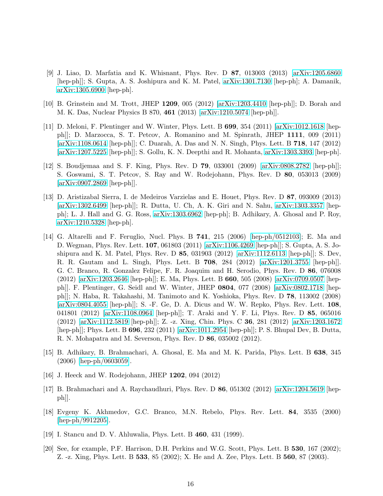- <span id="page-15-0"></span>[9] J. Liao, D. Marfatia and K. Whisnant, Phys. Rev. D 87, 013003 (2013) [\[arXiv:1205.6860](http://arxiv.org/abs/1205.6860) [hep-ph]]; S. Gupta, A. S. Joshipura and K. M. Patel, [arXiv:1301.7130](http://arxiv.org/abs/1301.7130) [hep-ph]; A. Damanik, [arXiv:1305.6900](http://arxiv.org/abs/1305.6900) [hep-ph].
- <span id="page-15-2"></span><span id="page-15-1"></span>[10] B. Grinstein and M. Trott, JHEP 1209, 005 (2012) [\[arXiv:1203.4410](http://arxiv.org/abs/1203.4410) [hep-ph]]; D. Borah and M. K. Das, Nuclear Physics B 870, 461 (2013) [\[arXiv:1210.5074](http://arxiv.org/abs/1210.5074) [hep-ph]].
- [11] D. Meloni, F. Plentinger and W. Winter, Phys. Lett. B 699, 354 (2011) [\[arXiv:1012.1618](http://arxiv.org/abs/1012.1618) [hepph]]; D. Marzocca, S. T. Petcov, A. Romanino and M. Spinrath, JHEP 1111, 009 (2011) [\[arXiv:1108.0614](http://arxiv.org/abs/1108.0614) [hep-ph]]; C. Duarah, A. Das and N. N. Singh, Phys. Lett. B 718, 147 (2012) [\[arXiv:1207.5225](http://arxiv.org/abs/1207.5225) [hep-ph]]; S. Gollu, K. N. Deepthi and R. Mohanta, [arXiv:1303.3393](http://arxiv.org/abs/1303.3393) [hep-ph].
- <span id="page-15-3"></span>[12] S. Boudjemaa and S. F. King, Phys. Rev. D 79, 033001 (2009) [\[arXiv:0808.2782](http://arxiv.org/abs/0808.2782) [hep-ph]]; S. Goswami, S. T. Petcov, S. Ray and W. Rodejohann, Phys. Rev. D 80, 053013 (2009) [\[arXiv:0907.2869](http://arxiv.org/abs/0907.2869) [hep-ph]].
- <span id="page-15-4"></span>[13] D. Aristizabal Sierra, I. de Medeiros Varzielas and E. Houet, Phys. Rev. D 87, 093009 (2013) [\[arXiv:1302.6499](http://arxiv.org/abs/1302.6499) [hep-ph]]; R. Dutta, U. Ch, A. K. Giri and N. Sahu, [arXiv:1303.3357](http://arxiv.org/abs/1303.3357) [hepph]; L. J. Hall and G. G. Ross, [arXiv:1303.6962](http://arxiv.org/abs/1303.6962) [hep-ph]; B. Adhikary, A. Ghosal and P. Roy, [arXiv:1210.5328](http://arxiv.org/abs/1210.5328) [hep-ph].
- <span id="page-15-5"></span>[14] G. Altarelli and F. Feruglio, Nucl. Phys. B 741, 215 (2006) [\[hep-ph/0512103\]](http://arxiv.org/abs/hep-ph/0512103); E. Ma and D. Wegman, Phys. Rev. Lett. 107, 061803 (2011) [\[arXiv:1106.4269](http://arxiv.org/abs/1106.4269) [hep-ph]]; S. Gupta, A. S. Joshipura and K. M. Patel, Phys. Rev. D 85, 031903 (2012) [\[arXiv:1112.6113](http://arxiv.org/abs/1112.6113) [hep-ph]]; S. Dev, R. R. Gautam and L. Singh, Phys. Lett. B 708, 284 (2012) [\[arXiv:1201.3755](http://arxiv.org/abs/1201.3755) [hep-ph]]. G. C. Branco, R. Gonzalez Felipe, F. R. Joaquim and H. Serodio, Phys. Rev. D 86, 076008 (2012) [\[arXiv:1203.2646](http://arxiv.org/abs/1203.2646) [hep-ph]]; E. Ma, Phys. Lett. B 660, 505 (2008) [\[arXiv:0709.0507](http://arxiv.org/abs/0709.0507) [hepph]]. F. Plentinger, G. Seidl and W. Winter, JHEP 0804, 077 (2008) [\[arXiv:0802.1718](http://arxiv.org/abs/0802.1718) [hepph]]; N. Haba, R. Takahashi, M. Tanimoto and K. Yoshioka, Phys. Rev. D 78, 113002 (2008) [\[arXiv:0804.4055](http://arxiv.org/abs/0804.4055) [hep-ph]]; S. -F. Ge, D. A. Dicus and W. W. Repko, Phys. Rev. Lett. 108, 041801 (2012) [\[arXiv:1108.0964](http://arxiv.org/abs/1108.0964) [hep-ph]]; T. Araki and Y. F. Li, Phys. Rev. D 85, 065016 (2012) [\[arXiv:1112.5819](http://arxiv.org/abs/1112.5819) [hep-ph]]; Z. -z. Xing, Chin. Phys. C 36, 281 (2012) [\[arXiv:1203.1672](http://arxiv.org/abs/1203.1672) [hep-ph]]; Phys. Lett. B 696, 232 (2011) [\[arXiv:1011.2954](http://arxiv.org/abs/1011.2954) [hep-ph]]; P. S. Bhupal Dev, B. Dutta, R. N. Mohapatra and M. Severson, Phys. Rev. D 86, 035002 (2012).
- <span id="page-15-6"></span>[15] B. Adhikary, B. Brahmachari, A. Ghosal, E. Ma and M. K. Parida, Phys. Lett. B 638, 345 (2006) [\[hep-ph/0603059\]](http://arxiv.org/abs/hep-ph/0603059).
- <span id="page-15-8"></span><span id="page-15-7"></span>[16] J. Heeck and W. Rodejohann, JHEP 1202, 094 (2012)
- [17] B. Brahmachari and A. Raychaudhuri, Phys. Rev. D 86, 051302 (2012) [\[arXiv:1204.5619](http://arxiv.org/abs/1204.5619) [hep $ph$ .
- <span id="page-15-9"></span>[18] Evgeny K. Akhmedov, G.C. Branco, M.N. Rebelo, Phys. Rev. Lett. 84, 3535 (2000) [\[hep-ph/9912205\]](http://arxiv.org/abs/hep-ph/9912205).
- <span id="page-15-11"></span><span id="page-15-10"></span>[19] I. Stancu and D. V. Ahluwalia, Phys. Lett. B 460, 431 (1999).
- [20] See, for example, P.F. Harrison, D.H. Perkins and W.G. Scott, Phys. Lett. B 530, 167 (2002); Z. -z. Xing, Phys. Lett. B 533, 85 (2002); X. He and A. Zee, Phys. Lett. B 560, 87 (2003).